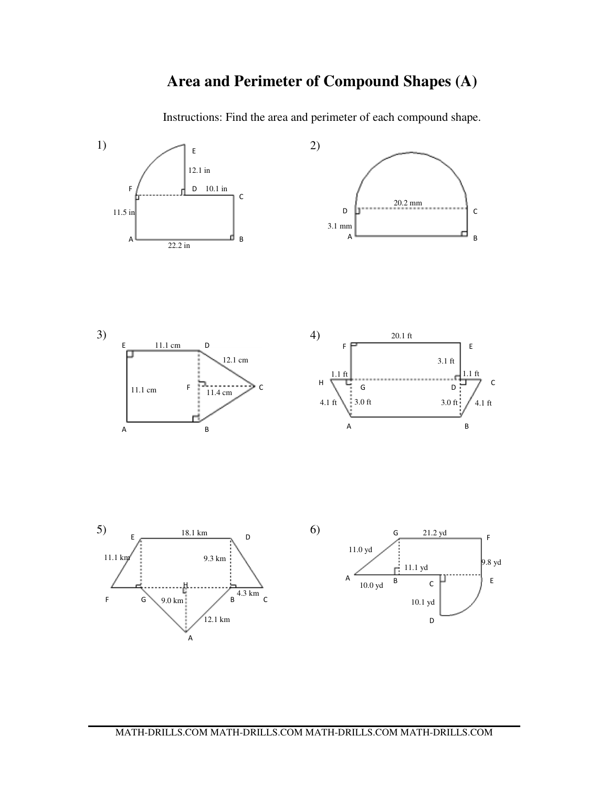## **Area and Perimeter of Compound Shapes (A)**

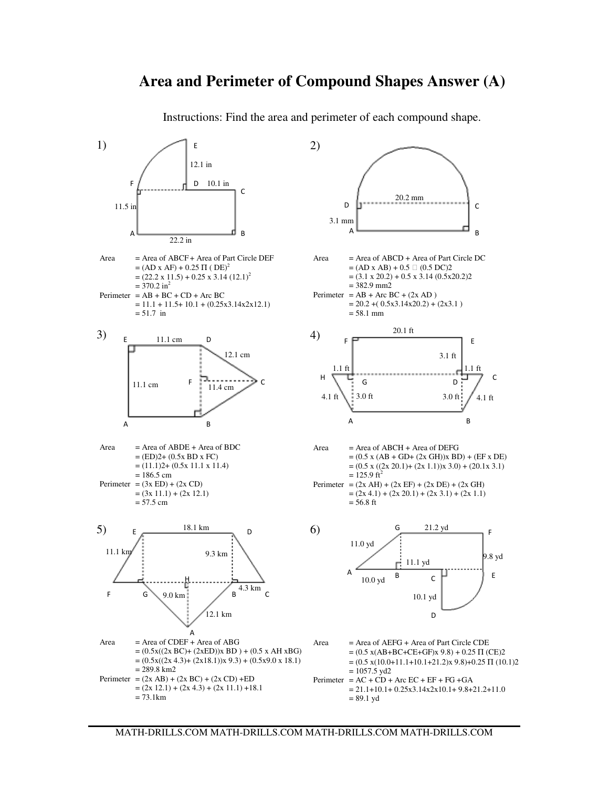### **Area and Perimeter of Compound Shapes Answer (A)**

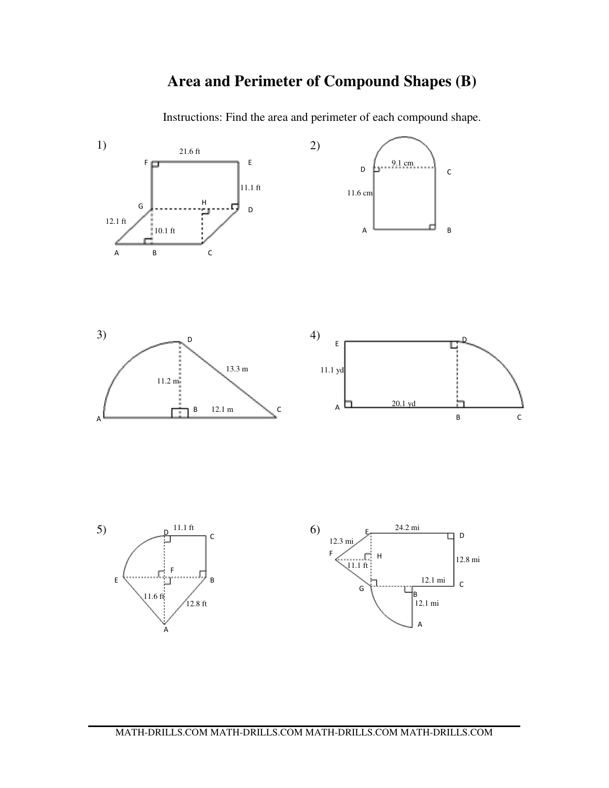## **Area and Perimeter of Compound Shapes (B)**

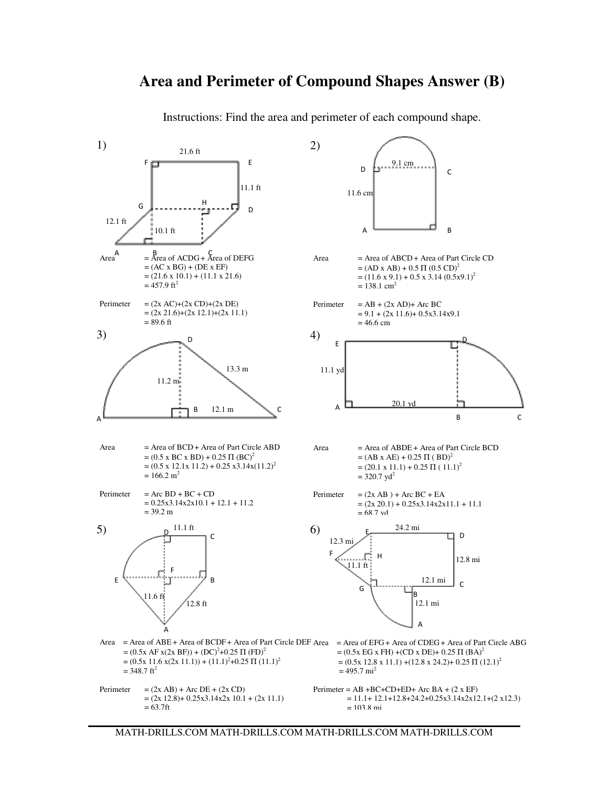#### **Area and Perimeter of Compound Shapes Answer (B)**

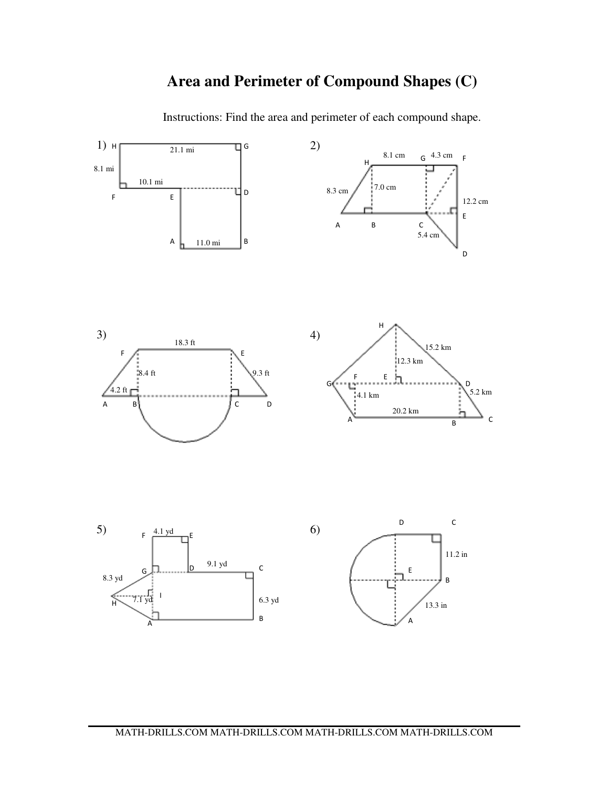## **Area and Perimeter of Compound Shapes (C)**

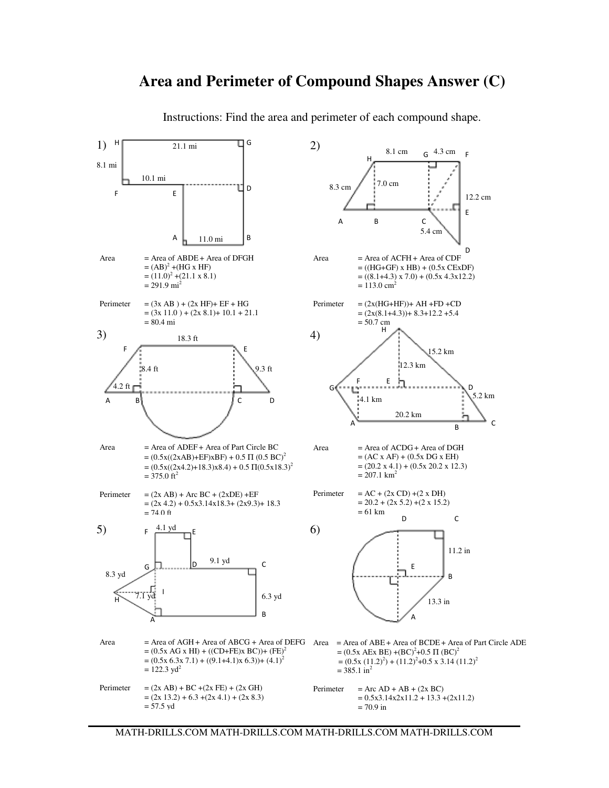### **Area and Perimeter of Compound Shapes Answer (C)**

 $\Box$  G H 1)  $H$  21.1 mi  $\frac{q^{6}}{2}$  2) 21.1 mi 8.1 cm G  $4.3 \text{ cm}$  F H 8.1 mi 10.1 mi 7.0 cm 8.3 cm IJр F E 12.2 cm E B<sub>c</sub> A 5.4 cm A 11.0 mi B D  $Area = Area of ABDE + Area of DFGH$  $Area = Area of ACFH + Area of CDF$  $= (AB)^2 + (HG \times HF)$  $= ((HG+GF) \times HB) + (0.5 \times CExDF)$  $=(11.0)^{2}+(21.1 \times 8.1)$  $= ((8.1 + 4.3) \times 7.0) + (0.5 \times 4.3 \times 12.2)$  $= 291.9$  mi<sup>2</sup>  $= 113.0$  cm<sup>2</sup> Perimeter  $= (3x AB) + (2x HF) + EF + HG$ Perimeter  $= (2x(HG+HF)) + AH + FD + CD$  $=(3x 11.0) + (2x 8.1) + 10.1 + 21.1$  $= (2x(8.1+4.3)) + 8.3+12.2 + 5.4$ = 80.4 mi = 50.7 cm H 3)  $18.3 \text{ ft}$  4) 18.3 ft F  $\mathcal{F}$  and  $\mathcal{F}$  and  $\mathcal{F}$ 15.2 km 12.3 km 8.4 ft  $\frac{1}{2}$  9.3 ft F E  $4.2 \text{ ft}$  defined by  $\overline{a}$  defined by  $\overline{b}$  $\mathsf{D}$ 5.2 km 4.1 km A B C D 20.2 km A C B  $Area = Area of ADEF + Area of Part Circle BC$  $Area = Area of ACDG + Area of DGH$  $= (0.5x((2xAB)+EF)xBF) + 0.5 \Pi (0.5 BC)^2$  $= (AC x AF) + (0.5x DG x EH)$  $=(0.5x((2x4.2)+18.3)x8.4)+0.5 \Pi(0.5x18.3)^2$  $=(20.2 \times 4.1) + (0.5 \times 20.2 \times 12.3)$  $= 375.0$  ft<sup>2</sup>  $= 207.1$  km<sup>2</sup> Perimeter =  $AC + (2x CD) + (2 x DH)$ Perimeter  $= (2x AB) + Arc BC + (2xDE) + EF$  $= 20.2 + (2 \times 5.2) + (2 \times 15.2)$  $=(2x 4.2) + 0.5x3.14x18.3 + (2x9.3) + 18.3$  $= 74.0$  ft  $= 61$  km D C 5)  $F \xrightarrow{4.1 \text{ yd}} E$  6)  $F \xrightarrow{4.1 \text{ yd}} E$ 11.2 in D C 9.1 yd G П E 8.3 yd B 7.1 yd I 6.3 yd H 13.3 in B A A Area = Area of AGH + Area of ABCG + Area of DEFG Area = Area of ABE + Area of BCDE + Area of Part Circle ADE  $= (0.5x \text{ AG } x \text{ HI}) + ((CD + FE)x \text{ BC})) + (FE)^2$  $=(0.5x \text{ AEx BE}) + (BC)^2 + 0.5 \Pi (BC)^2$  $=(0.5x 6.3x 7.1) + ((9.1+4.1)x 6.3)) + (4.1)^{2}$  $=(0.5x(11.2)^{2})+(11.2)^{2}+0.5x3.14(11.2)^{2}$  $= 122.3$  yd<sup>2</sup>  $= 385.1 \text{ in}^2$ Perimeter =  $(2x AB) + BC + (2x FE) + (2x GH)$ Perimeter =  $Arc AD + AB + (2x BC)$  $=(2x 13.2) + 6.3 + (2x 4.1) + (2x 8.3)$  $= 0.5x3.14x2x11.2 + 13.3 + (2x11.2)$ = 57.5 yd = 70.9 in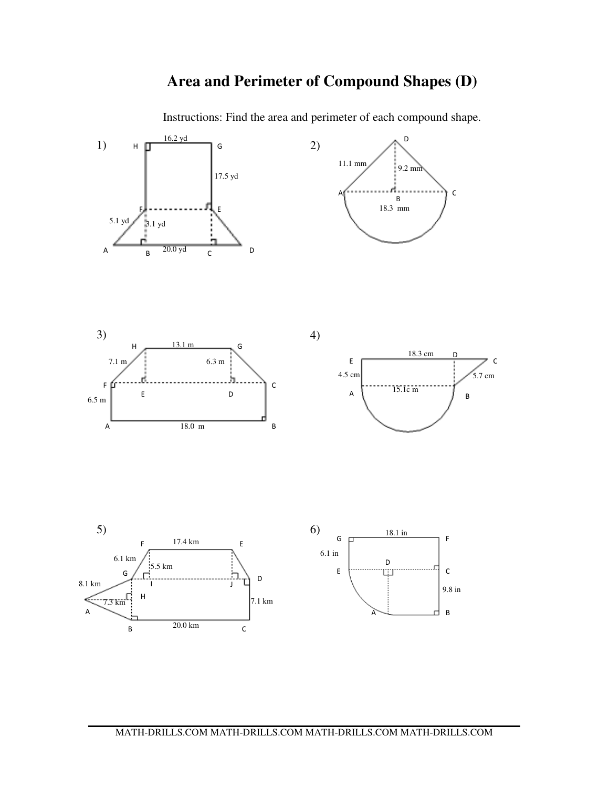### **Area and Perimeter of Compound Shapes (D)**

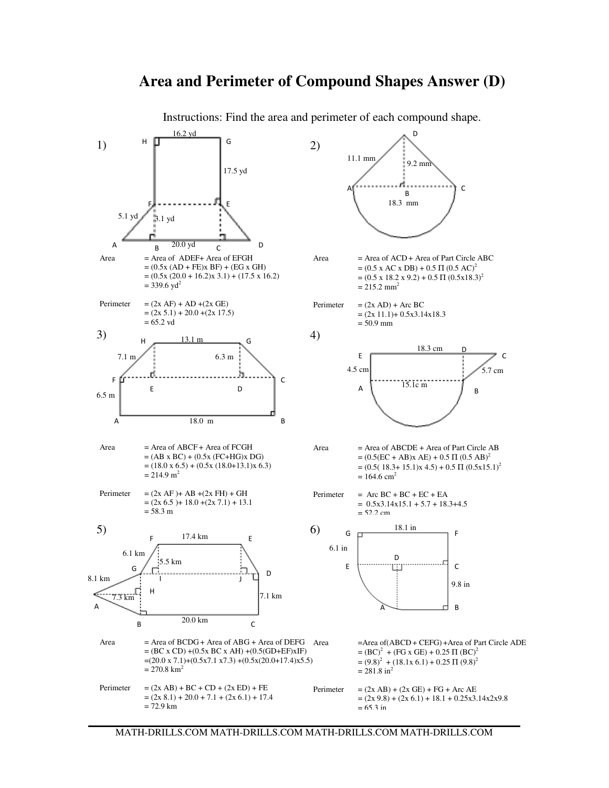#### 16.2 yd D H  $\Box$  G 1)  $H = \begin{bmatrix} 1 & 2 \end{bmatrix}$ 11.1 mm 9.2 mm 17.5 yd A (ייייייייייה-ה-ה-יייייה) כ B 18.3 mm F E 5.1 yd  $3.1$  yd D A  $B = 20.0$  yd c  $Area = Area of ADEF + Area of EFGH$ Area  $=$  Area of ACD + Area of Part Circle ABC  $= (0.5x (AD + FE)x BF) + (EG x GH)$  $=(0.5 \times AC \times DB) + 0.5 \Pi (0.5 \text{ AC})^2$  $=(0.5x (20.0 + 16.2)x 3.1) + (17.5 x 16.2)$  $=(0.5 \times 18.2 \times 9.2) + 0.5 \Pi (0.5 \times 18.3)^2$  $= 339.6$  yd<sup>2</sup>  $= 215.2$  mm<sup>2</sup> Perimeter =  $(2x AF) + AD + (2x GE)$ Perimeter  $= (2x AD) + Arc BC$  $=(2x 5.1) + 20.0 + (2x 17.5)$  $= (2x 11.1) + 0.5x3.14x18.3$  $= 65.2$  yd  $= 50.9$  mm 3)  $\frac{1}{131m}$  (4) H  $\frac{13.1 \text{ m}}{6}$  G 18.3 cm D E  $\mathcal{C}$  $7.1 \text{ m}$  6.3 m  $4.5 \text{ cm}$   $5.7 \text{ cm}$ J. F f. C  $A = \begin{bmatrix} 15.1c \text{ m} & 1 \end{bmatrix}$ E D 6.5 m A 18.0 m B  $Area = Area of ABCF + Area of FCGH$  $Area = Area of ABCDE + Area of Part Circle AB$  $= (AB \times BC) + (0.5 \times (FC+HG) \times DG)$  $= (0.5(EC + AB)x AE) + 0.5 \Pi (0.5 AB)^2$  $=(18.0 \times 6.5) + (0.5 \times (18.0 + 13.1) \times 6.3)$  $=(0.5(18.3+15.1)x 4.5) + 0.5 \Pi (0.5x15.1)^2$  $= 214.9$  m<sup>2</sup>  $= 164.6$  cm<sup>2</sup> Perimeter  $= (2x AF) + AB + (2x FH) + GH$ Perimeter =  $Arc BC + BC + EC + EA$  $=(2x 6.5) + 18.0 + (2x 7.1) + 13.1$  $= 0.5x3.14x15.1 + 5.7 + 18.3 + 4.5$  $= 58.3 m$  $= 52.2 cm$ 18.1 in 5)  $\qquad \qquad$  5) G F F E 17.4 km 6.1 in 6.1 km D 5.5 km E C G D 8.1 km I J 9.8 in  $7.3 \text{ km}^1$   $\frac{1}{1}$   $\frac{1}{2}$   $\frac{1}{2}$   $\frac{1}{2}$   $\frac{1}{2}$   $\frac{1}{2}$   $\frac{1}{2}$   $\frac{1}{2}$   $\frac{1}{2}$   $\frac{1}{2}$   $\frac{1}{2}$   $\frac{1}{2}$   $\frac{1}{2}$   $\frac{1}{2}$   $\frac{1}{2}$   $\frac{1}{2}$   $\frac{1}{2}$   $\frac{1}{2}$   $\frac{1}{2}$   $\frac{1}{2}$   $\frac{1}{2}$ H A  $\lambda$   $\lambda$   $\lambda$   $\lambda$   $\lambda$   $\lambda$   $\lambda$   $\lambda$ B 20.0 km C Area  $=$  Area of BCDG + Area of ABG + Area of DEFG Area = Area of(ABCD + CEFG) + Area of Part Circle ADE  $= (BC \times CD) + (0.5 \times BC \times AH) + (0.5(GD + EF) \times IF)$  $= (BC)^2 + (FG \times GE) + 0.25 \Pi (BC)^2$  $=(20.0 \times 7.1)+(0.5 \times 7.1 \times 7.3)+(0.5 \times (20.0+17.4) \times 5.5)$  $= (9.8)^2 + (18.1x\,6.1) + 0.25\,\Pi\,(9.8)^2$  $= 270.8$  km<sup>2</sup>  $= 281.8 \text{ in}^2$ Perimeter  $= (2x AB) + BC + CD + (2x ED) + FE$ Perimeter =  $(2x AB) + (2x GE) + FG + Arc AE$  $=(2x 8.1) + 20.0 + 7.1 + (2x 6.1) + 17.4$  $=(2x 9.8) + (2x 6.1) + 18.1 + 0.25x3.14x2x9.8$  $= 72.9$  km  $= 65.3$  in

#### **Area and Perimeter of Compound Shapes Answer (D)**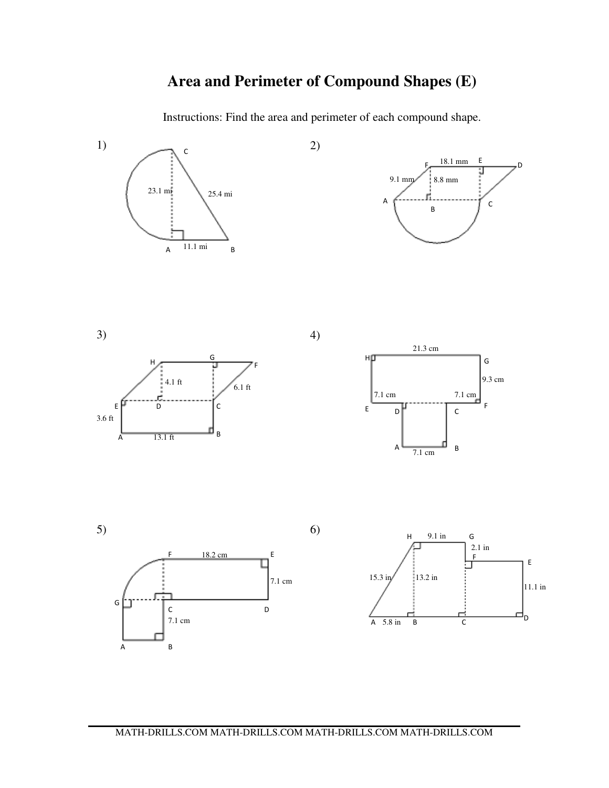# **Area and Perimeter of Compound Shapes (E)**

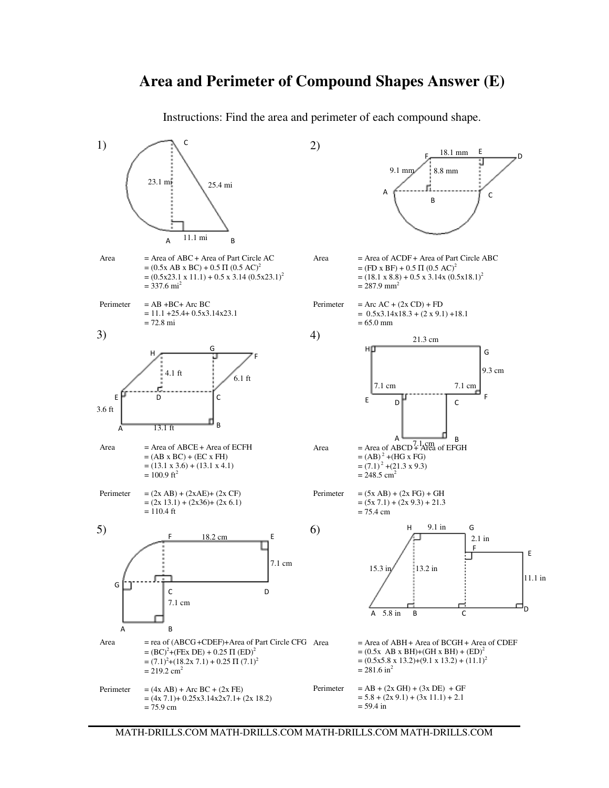#### **Area and Perimeter of Compound Shapes Answer (E)**

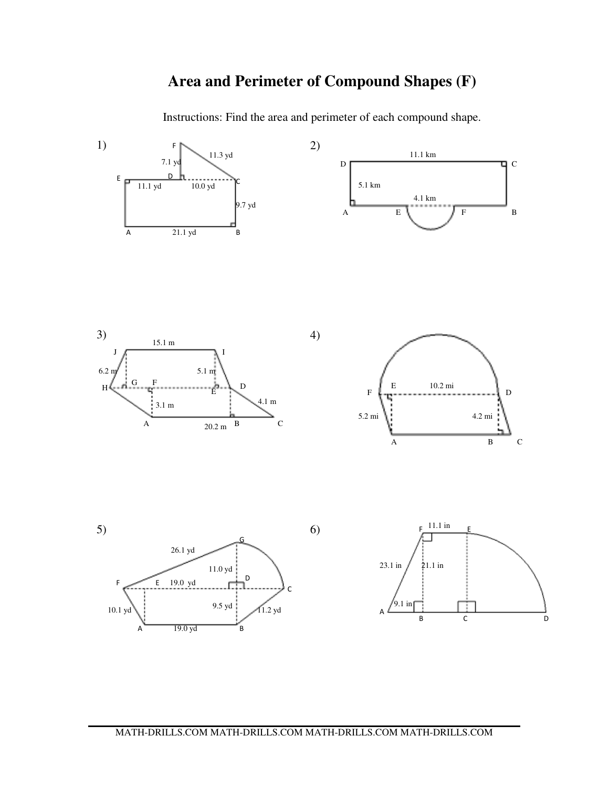## **Area and Perimeter of Compound Shapes (F)**

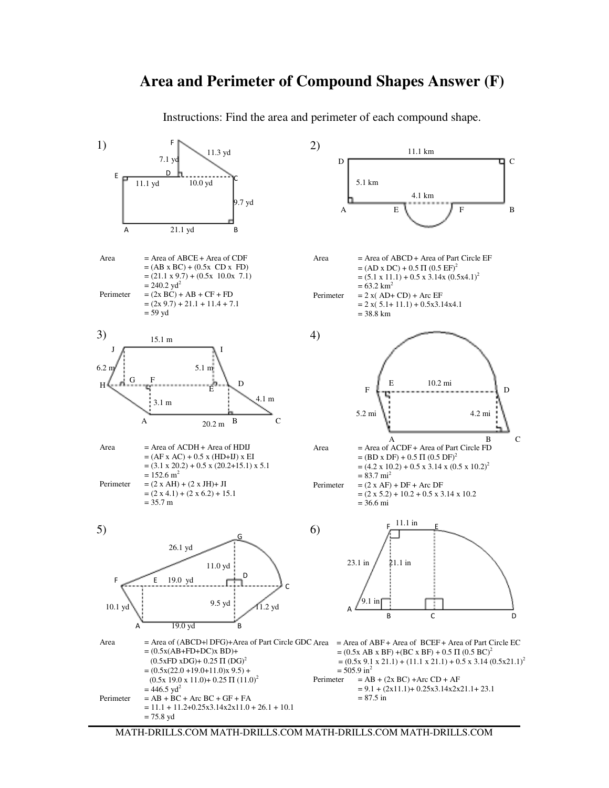### **Area and Perimeter of Compound Shapes Answer (F)**

Instructions: Find the area and perimeter of each compound shape.



MATH-DRILLS.COM MATH-DRILLS.COM MATH-DRILLS.COM MATH-DRILLS.COM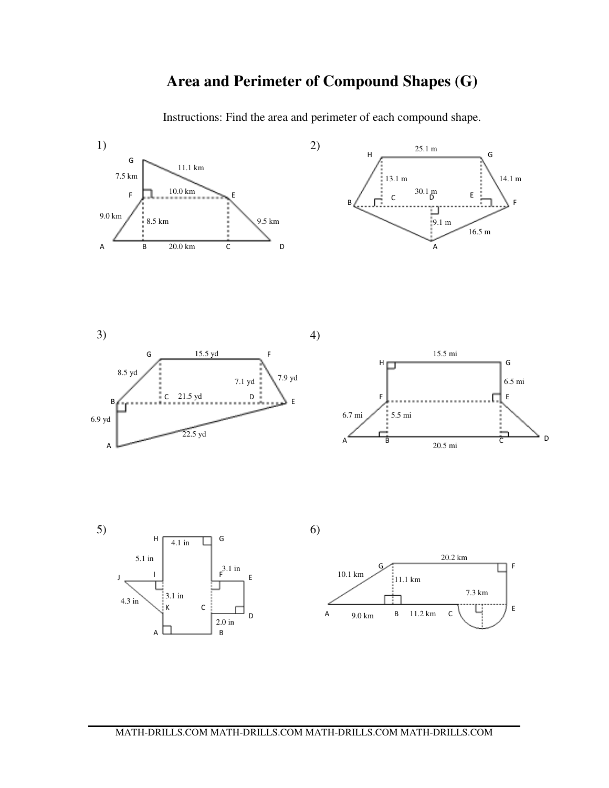### **Area and Perimeter of Compound Shapes (G)**

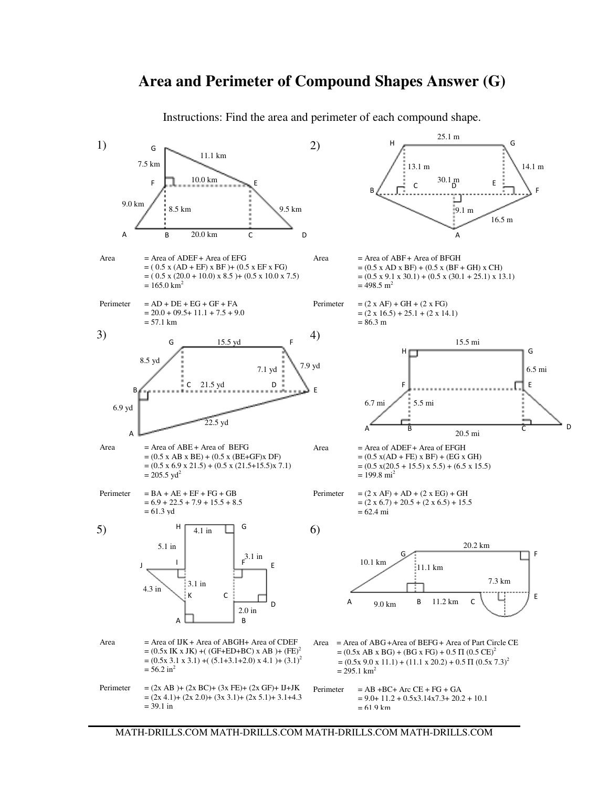### **Area and Perimeter of Compound Shapes Answer (G)**

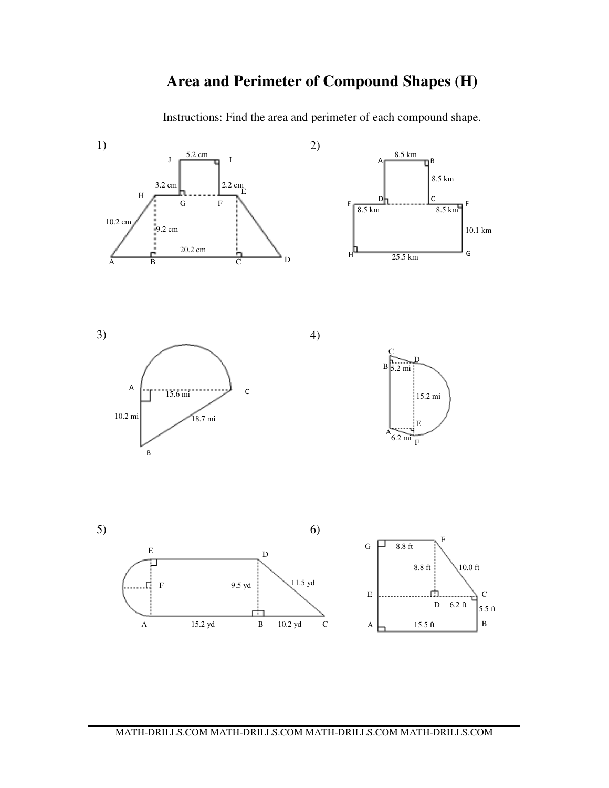### **Area and Perimeter of Compound Shapes (H)**

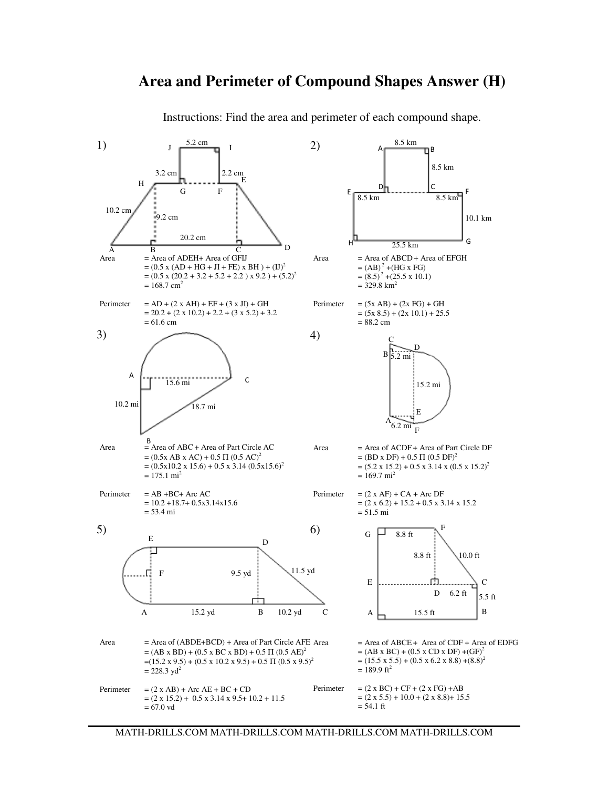#### **Area and Perimeter of Compound Shapes Answer (H)**

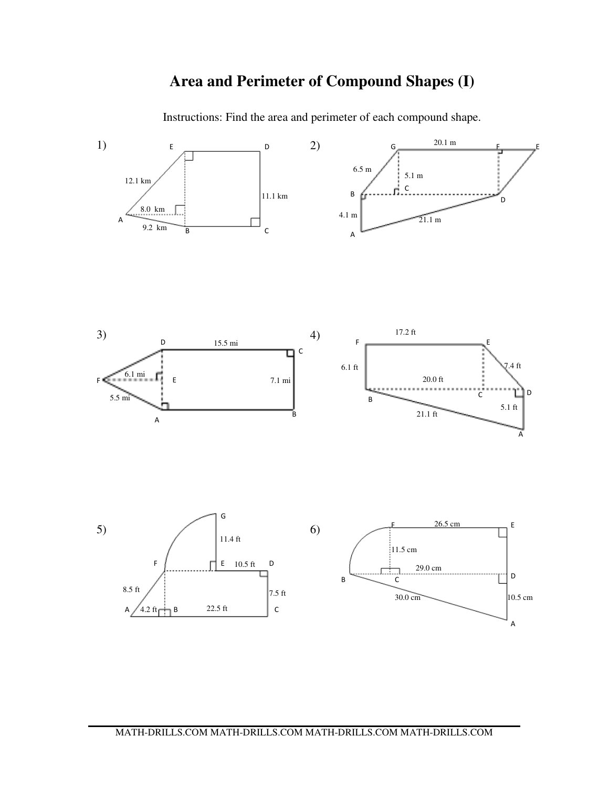## **Area and Perimeter of Compound Shapes (I)**







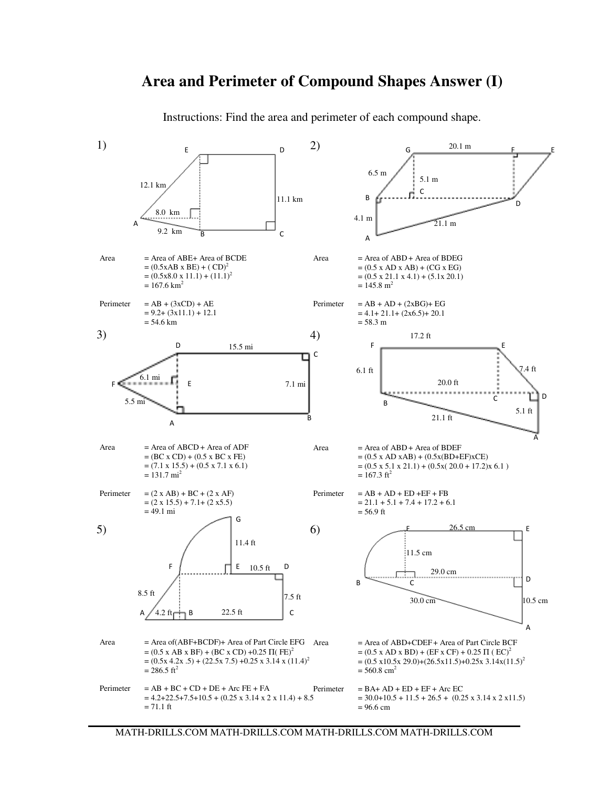### **Area and Perimeter of Compound Shapes Answer (I)**

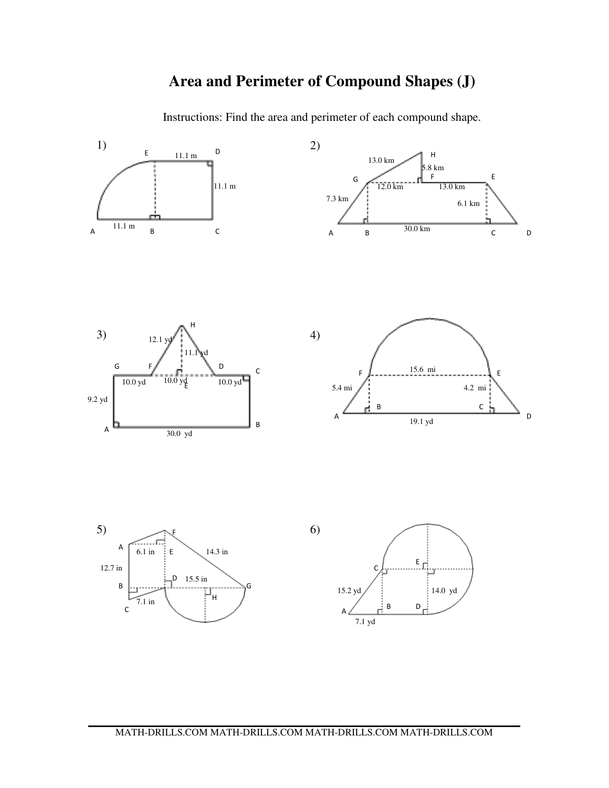## **Area and Perimeter of Compound Shapes (J)**